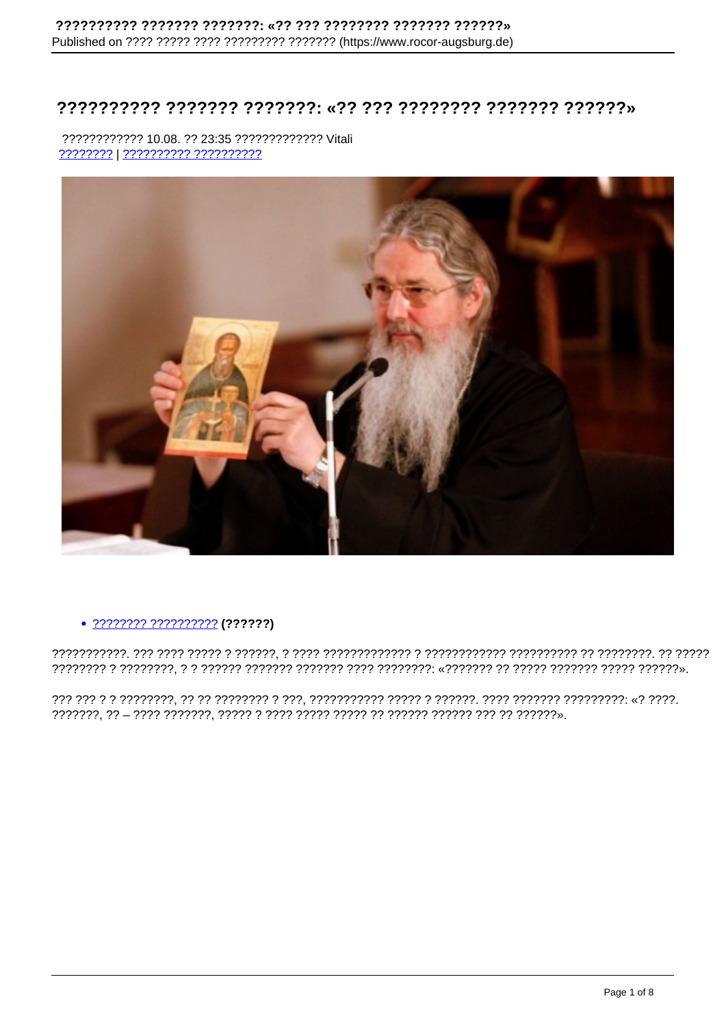# ?????????? ??????? ???????: «?? ??? ??????? ??????? ??????»

???????????? 10.08. ?? 23:35 ???????????? Vitali 7777777 | 777777777 7777777777



# • ???????? ?????????? (??????)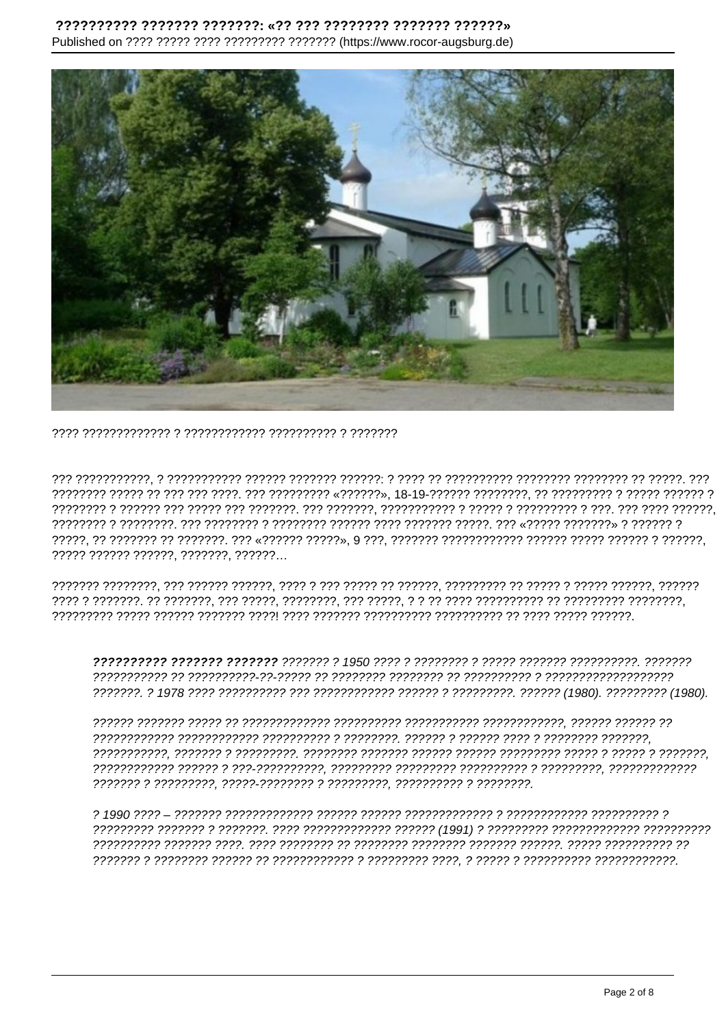# Published on 2222 22222 2222 22222222 2222222 (https://www.rocor-augsburg.de)



????? ?????? ??????. ???????. ??????...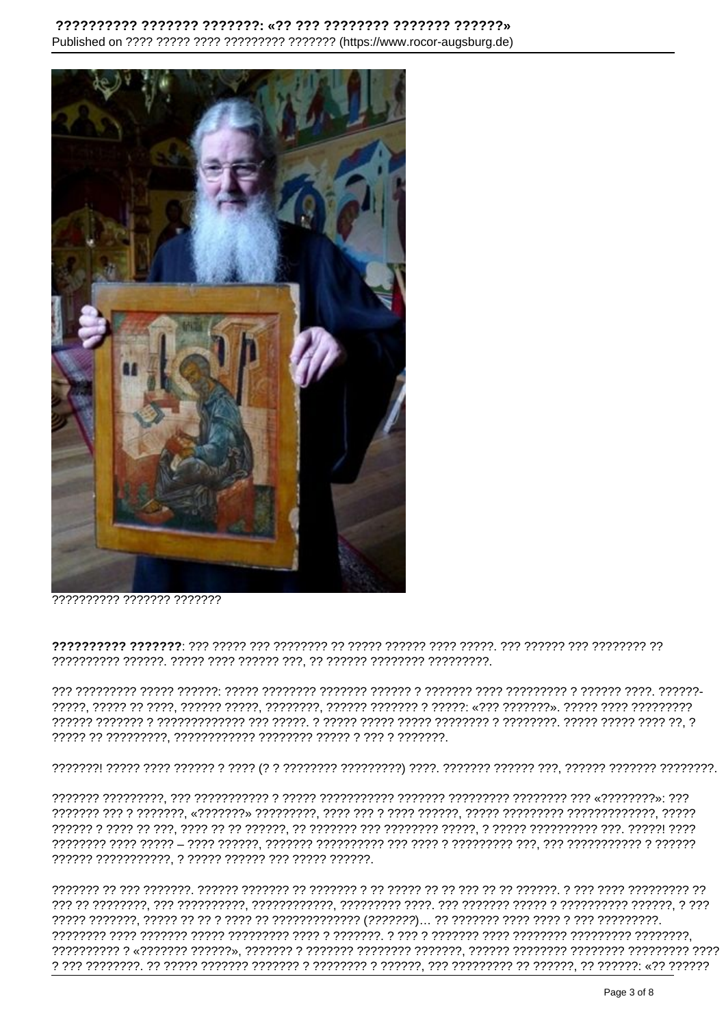

7777777777 7777777 7777777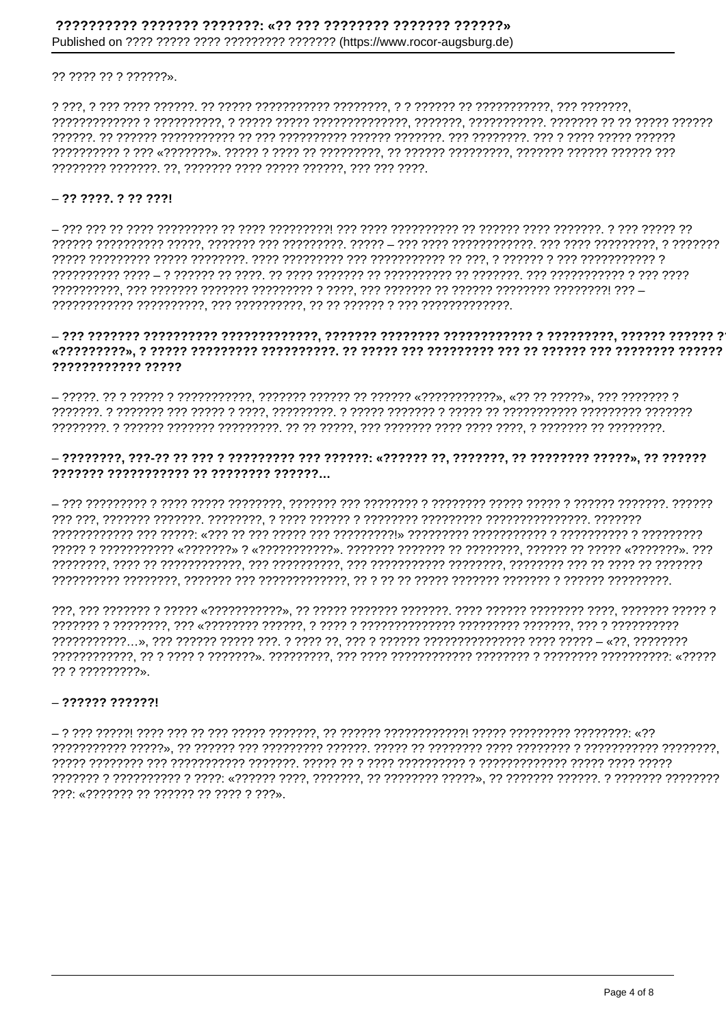#### $-222222.22222$

#### ???????????? ?????

## ??????? ??????????? ?? ???????? ??????...

 $22.22222222$ 

#### $-222222222221$

???: «??????? ?? ?????? ?? ???? ? ???».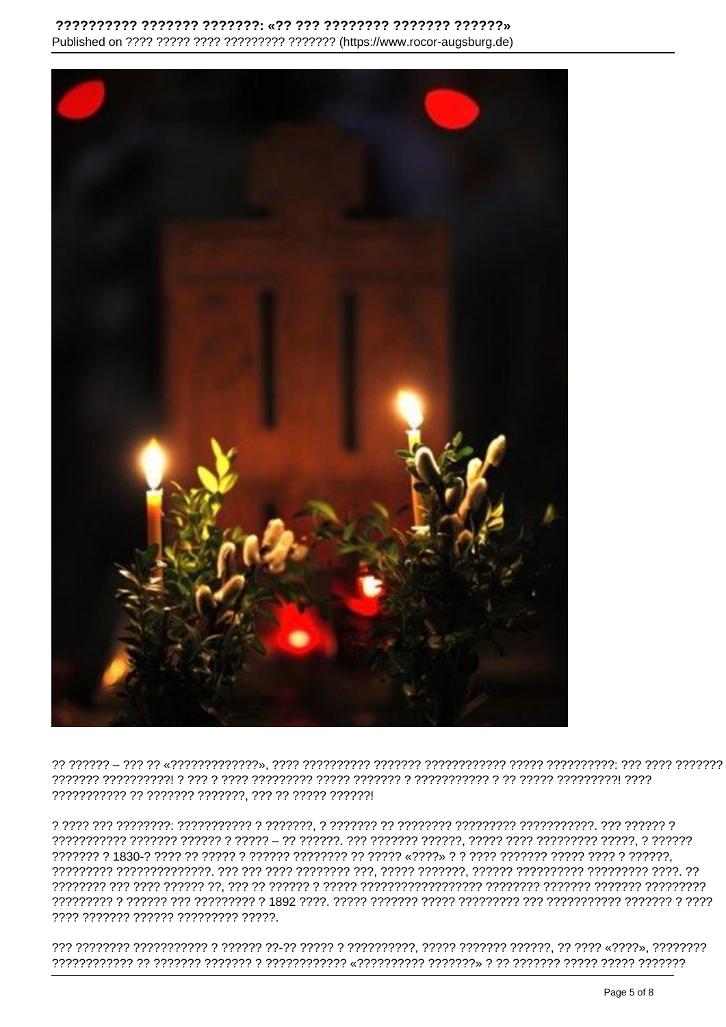## Published on ???? ????? ???? ????????? ??????? (https://www.rocor-augsburg.de)



,2007272 2 1830-2 20272 22 1830 1941 20272 22 10272 22 22 22 23 24 25 26 27 27 27 27 27 27 27 27 27 27 27 27 2 ???? ??????? ?????? ????????? ?????.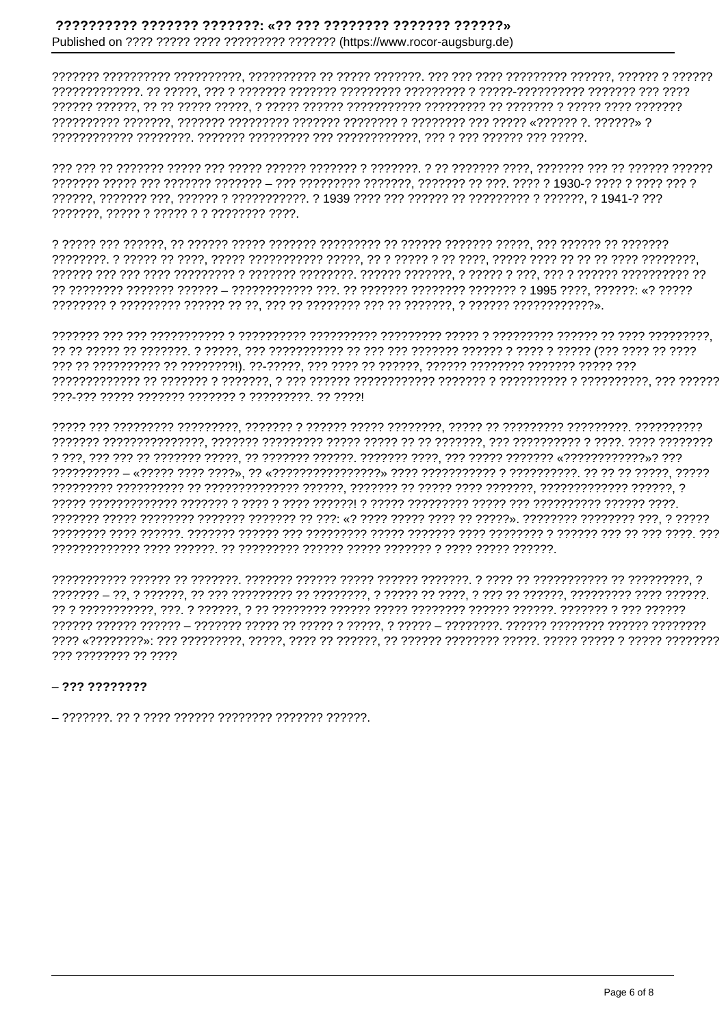#### Published on 2222 22222 2222 22222222 2222222 (https://www.rocor-augsburg.de)

7777777. 77777 7 77777 7 7 77777777 7777.

??? ???????? ?? ????

# $-222222222$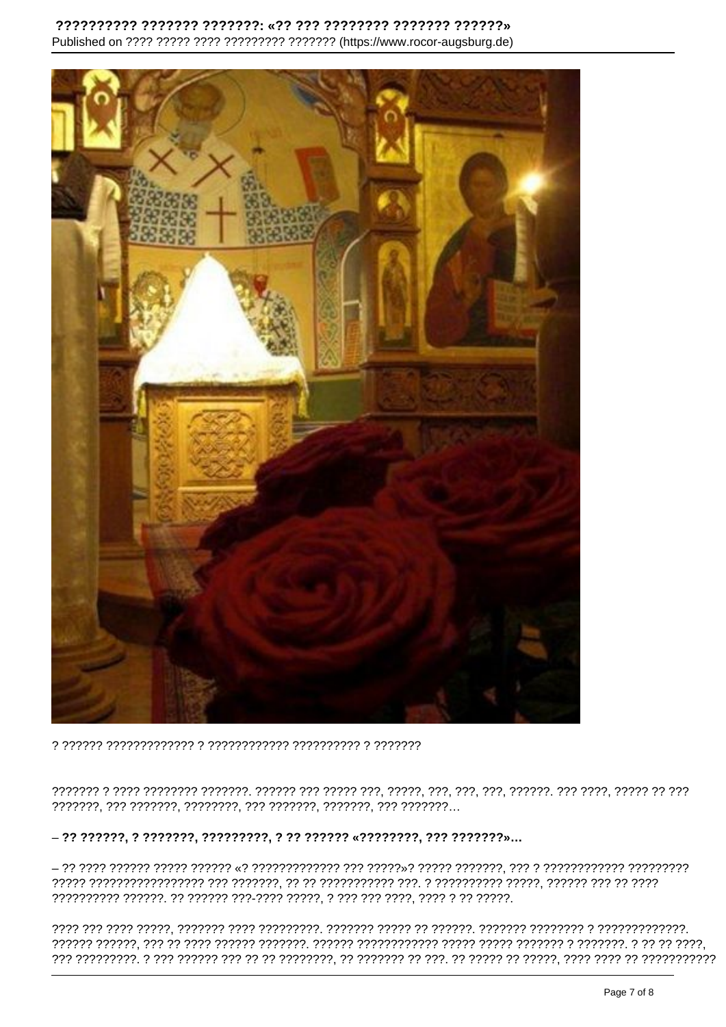## Published on ???? ????? ???? ????????? ??????? (https://www.rocor-augsburg.de)



# 

777777777 777777. 77 777777 777-7777 77777, 7 777 7777, 7777, 7777 77777.